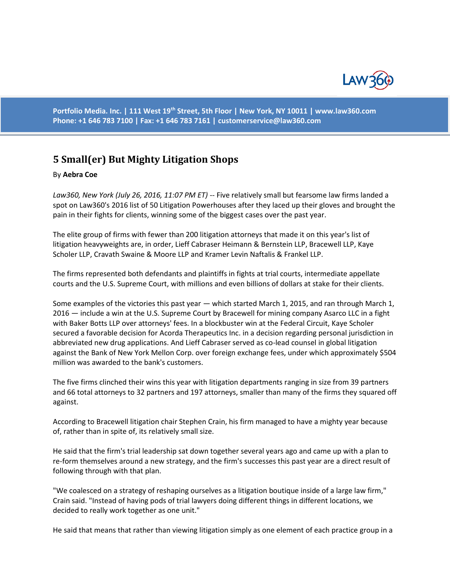

**Portfolio Media. Inc. | 111 West 19th Street, 5th Floor | New York, NY 10011 | www.law360.com Phone: +1 646 783 7100 | Fax: +1 646 783 7161 | [customerservice@law360.com](mailto:customerservice@law360.com)**

## **5 Small(er) But Mighty Litigation Shops**

## By **Aebra Coe**

*Law360, New York (July 26, 2016, 11:07 PM ET)* -- Five relatively small but fearsome law firms landed a spot on Law360's 2016 list of 50 Litigation Powerhouses after they laced up their gloves and brought the pain in their fights for clients, winning some of the biggest cases over the past year.

The elite group of firms with fewer than 200 litigation attorneys that made it on this year's list of litigation heavyweights are, in order, Lieff Cabraser Heimann & Bernstein LLP, Bracewell LLP, Kaye Scholer LLP, Cravath Swaine & Moore LLP and Kramer Levin Naftalis & Frankel LLP.

The firms represented both defendants and plaintiffs in fights at trial courts, intermediate appellate courts and the U.S. Supreme Court, with millions and even billions of dollars at stake for their clients.

Some examples of the victories this past year — which started March 1, 2015, and ran through March 1, 2016 — include a win at the U.S. Supreme Court by Bracewell for mining company Asarco LLC in a fight with Baker Botts LLP over attorneys' fees. In a blockbuster win at the Federal Circuit, Kaye Scholer secured a favorable decision for Acorda Therapeutics Inc. in a decision regarding personal jurisdiction in abbreviated new drug applications. And Lieff Cabraser served as co-lead counsel in global litigation against the Bank of New York Mellon Corp. over foreign exchange fees, under which approximately \$504 million was awarded to the bank's customers.

The five firms clinched their wins this year with litigation departments ranging in size from 39 partners and 66 total attorneys to 32 partners and 197 attorneys, smaller than many of the firms they squared off against.

According to Bracewell litigation chair Stephen Crain, his firm managed to have a mighty year because of, rather than in spite of, its relatively small size.

He said that the firm's trial leadership sat down together several years ago and came up with a plan to re-form themselves around a new strategy, and the firm's successes this past year are a direct result of following through with that plan.

"We coalesced on a strategy of reshaping ourselves as a litigation boutique inside of a large law firm," Crain said. "Instead of having pods of trial lawyers doing different things in different locations, we decided to really work together as one unit."

He said that means that rather than viewing litigation simply as one element of each practice group in a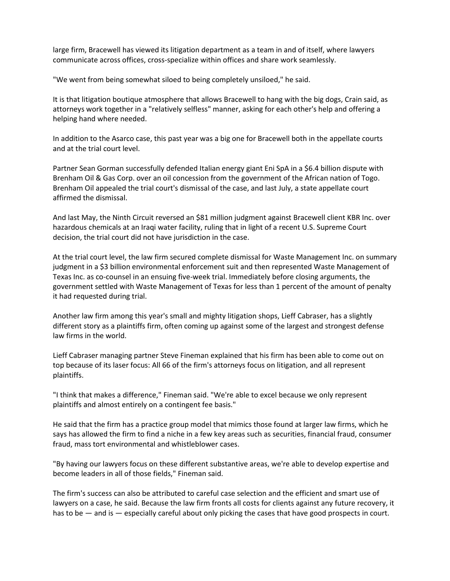large firm, Bracewell has viewed its litigation department as a team in and of itself, where lawyers communicate across offices, cross-specialize within offices and share work seamlessly.

"We went from being somewhat siloed to being completely unsiloed," he said.

It is that litigation boutique atmosphere that allows Bracewell to hang with the big dogs, Crain said, as attorneys work together in a "relatively selfless" manner, asking for each other's help and offering a helping hand where needed.

In addition to the Asarco case, this past year was a big one for Bracewell both in the appellate courts and at the trial court level.

Partner Sean Gorman successfully defended Italian energy giant Eni SpA in a \$6.4 billion dispute with Brenham Oil & Gas Corp. over an oil concession from the government of the African nation of Togo. Brenham Oil appealed the trial court's dismissal of the case, and last July, a state appellate court affirmed the dismissal.

And last May, the Ninth Circuit reversed an \$81 million judgment against Bracewell client KBR Inc. over hazardous chemicals at an Iraqi water facility, ruling that in light of a recent U.S. Supreme Court decision, the trial court did not have jurisdiction in the case.

At the trial court level, the law firm secured complete dismissal for Waste Management Inc. on summary judgment in a \$3 billion environmental enforcement suit and then represented Waste Management of Texas Inc. as co-counsel in an ensuing five-week trial. Immediately before closing arguments, the government settled with Waste Management of Texas for less than 1 percent of the amount of penalty it had requested during trial.

Another law firm among this year's small and mighty litigation shops, Lieff Cabraser, has a slightly different story as a plaintiffs firm, often coming up against some of the largest and strongest defense law firms in the world.

Lieff Cabraser managing partner Steve Fineman explained that his firm has been able to come out on top because of its laser focus: All 66 of the firm's attorneys focus on litigation, and all represent plaintiffs.

"I think that makes a difference," Fineman said. "We're able to excel because we only represent plaintiffs and almost entirely on a contingent fee basis."

He said that the firm has a practice group model that mimics those found at larger law firms, which he says has allowed the firm to find a niche in a few key areas such as securities, financial fraud, consumer fraud, mass tort environmental and whistleblower cases.

"By having our lawyers focus on these different substantive areas, we're able to develop expertise and become leaders in all of those fields," Fineman said.

The firm's success can also be attributed to careful case selection and the efficient and smart use of lawyers on a case, he said. Because the law firm fronts all costs for clients against any future recovery, it has to be  $-$  and is  $-$  especially careful about only picking the cases that have good prospects in court.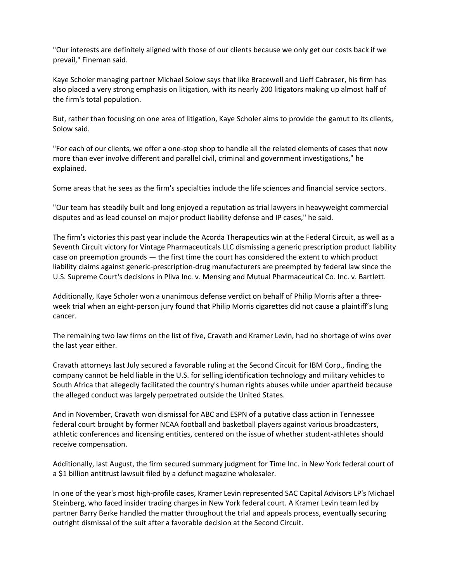"Our interests are definitely aligned with those of our clients because we only get our costs back if we prevail," Fineman said.

Kaye Scholer managing partner Michael Solow says that like Bracewell and Lieff Cabraser, his firm has also placed a very strong emphasis on litigation, with its nearly 200 litigators making up almost half of the firm's total population.

But, rather than focusing on one area of litigation, Kaye Scholer aims to provide the gamut to its clients, Solow said.

"For each of our clients, we offer a one-stop shop to handle all the related elements of cases that now more than ever involve different and parallel civil, criminal and government investigations," he explained.

Some areas that he sees as the firm's specialties include the life sciences and financial service sectors.

"Our team has steadily built and long enjoyed a reputation as trial lawyers in heavyweight commercial disputes and as lead counsel on major product liability defense and IP cases," he said.

The firm's victories this past year include the Acorda Therapeutics win at the Federal Circuit, as well as a Seventh Circuit victory for Vintage Pharmaceuticals LLC dismissing a generic prescription product liability case on preemption grounds — the first time the court has considered the extent to which product liability claims against generic-prescription-drug manufacturers are preempted by federal law since the U.S. Supreme Court's decisions in Pliva Inc. v. Mensing and Mutual Pharmaceutical Co. Inc. v. Bartlett.

Additionally, Kaye Scholer won a unanimous defense verdict on behalf of Philip Morris after a threeweek trial when an eight-person jury found that Philip Morris cigarettes did not cause a plaintiff's lung cancer.

The remaining two law firms on the list of five, Cravath and Kramer Levin, had no shortage of wins over the last year either.

Cravath attorneys last July secured a favorable ruling at the Second Circuit for IBM Corp., finding the company cannot be held liable in the U.S. for selling identification technology and military vehicles to South Africa that allegedly facilitated the country's human rights abuses while under apartheid because the alleged conduct was largely perpetrated outside the United States.

And in November, Cravath won dismissal for ABC and ESPN of a putative class action in Tennessee federal court brought by former NCAA football and basketball players against various broadcasters, athletic conferences and licensing entities, centered on the issue of whether student-athletes should receive compensation.

Additionally, last August, the firm secured summary judgment for Time Inc. in New York federal court of a \$1 billion antitrust lawsuit filed by a defunct magazine wholesaler.

In one of the year's most high-profile cases, Kramer Levin represented SAC Capital Advisors LP's Michael Steinberg, who faced insider trading charges in New York federal court. A Kramer Levin team led by partner Barry Berke handled the matter throughout the trial and appeals process, eventually securing outright dismissal of the suit after a favorable decision at the Second Circuit.